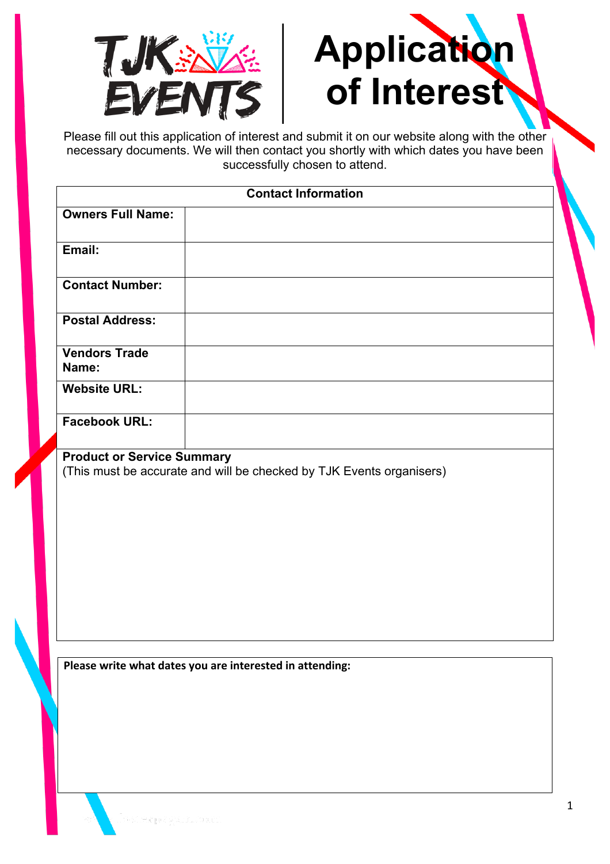



Please fill out this application of interest and submit it on our website along with the other necessary documents. We will then contact you shortly with which dates you have been successfully chosen to attend.

|                                   | <b>Contact Information</b>                                           |
|-----------------------------------|----------------------------------------------------------------------|
| <b>Owners Full Name:</b>          |                                                                      |
| Email:                            |                                                                      |
| <b>Contact Number:</b>            |                                                                      |
| <b>Postal Address:</b>            |                                                                      |
| <b>Vendors Trade</b><br>Name:     |                                                                      |
| <b>Website URL:</b>               |                                                                      |
| <b>Facebook URL:</b>              |                                                                      |
| <b>Product or Service Summary</b> | (This must be accurate and will be checked by TJK Events organisers) |

**Please write what dates you are interested in attending:**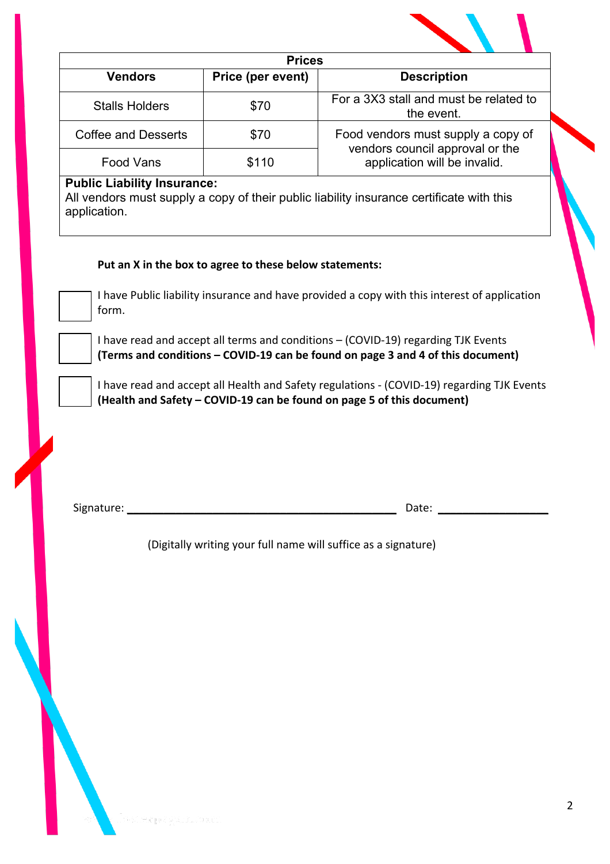|                                                    | <b>Prices</b>                                           |                                                                                                                                                                      |
|----------------------------------------------------|---------------------------------------------------------|----------------------------------------------------------------------------------------------------------------------------------------------------------------------|
| <b>Vendors</b>                                     | Price (per event)                                       | <b>Description</b>                                                                                                                                                   |
| <b>Stalls Holders</b>                              | \$70                                                    | For a 3X3 stall and must be related to<br>the event.                                                                                                                 |
| <b>Coffee and Desserts</b>                         | \$70                                                    | Food vendors must supply a copy of<br>vendors council approval or the<br>application will be invalid.                                                                |
| <b>Food Vans</b>                                   | \$110                                                   |                                                                                                                                                                      |
| <b>Public Liability Insurance:</b><br>application. |                                                         | All vendors must supply a copy of their public liability insurance certificate with this                                                                             |
|                                                    | Put an X in the box to agree to these below statements: |                                                                                                                                                                      |
| form.                                              |                                                         | I have Public liability insurance and have provided a copy with this interest of application                                                                         |
|                                                    |                                                         | I have read and accept all terms and conditions - (COVID-19) regarding TJK Events<br>(Terms and conditions - COVID-19 can be found on page 3 and 4 of this document) |
|                                                    |                                                         | I have read and accept all Health and Safety regulations - (COVID-19) regarding TJK Events                                                                           |
|                                                    |                                                         | (Health and Safety - COVID-19 can be found on page 5 of this document)                                                                                               |
|                                                    |                                                         |                                                                                                                                                                      |
|                                                    |                                                         |                                                                                                                                                                      |
|                                                    |                                                         | (Digitally writing your full name will suffice as a signature)                                                                                                       |
|                                                    |                                                         |                                                                                                                                                                      |
|                                                    |                                                         |                                                                                                                                                                      |
|                                                    |                                                         |                                                                                                                                                                      |
|                                                    |                                                         |                                                                                                                                                                      |
|                                                    |                                                         |                                                                                                                                                                      |
|                                                    |                                                         |                                                                                                                                                                      |
|                                                    |                                                         |                                                                                                                                                                      |
|                                                    |                                                         |                                                                                                                                                                      |
|                                                    |                                                         |                                                                                                                                                                      |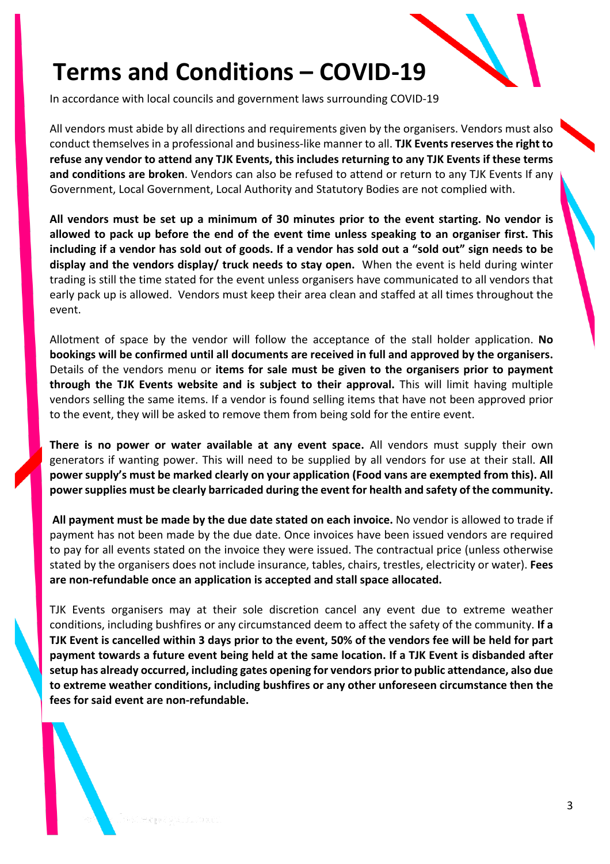## **Terms and Conditions – COVID-19**

In accordance with local councils and government laws surrounding COVID-19

All vendors must abide by all directions and requirements given by the organisers. Vendors must also conduct themselves in a professional and business-like manner to all. **TJK Events reserves the right to refuse any vendor to attend any TJK Events, this includes returning to any TJK Events if these terms and conditions are broken**. Vendors can also be refused to attend or return to any TJK Events If any Government, Local Government, Local Authority and Statutory Bodies are not complied with.

**All vendors must be set up a minimum of 30 minutes prior to the event starting. No vendor is allowed to pack up before the end of the event time unless speaking to an organiser first. This including if a vendor has sold out of goods. If a vendor has sold out a "sold out" sign needs to be display and the vendors display/ truck needs to stay open.** When the event is held during winter trading is still the time stated for the event unless organisers have communicated to all vendors that early pack up is allowed. Vendors must keep their area clean and staffed at all times throughout the event.

Allotment of space by the vendor will follow the acceptance of the stall holder application. **No bookings will be confirmed until all documents are received in full and approved by the organisers.** Details of the vendors menu or **items for sale must be given to the organisers prior to payment through the TJK Events website and is subject to their approval.** This will limit having multiple vendors selling the same items. If a vendor is found selling items that have not been approved prior to the event, they will be asked to remove them from being sold for the entire event.

**There is no power or water available at any event space.** All vendors must supply their own generators if wanting power. This will need to be supplied by all vendors for use at their stall. **All power supply's must be marked clearly on your application (Food vans are exempted from this). All power supplies must be clearly barricaded during the event for health and safety of the community.**

**All payment must be made by the due date stated on each invoice.** No vendor is allowed to trade if payment has not been made by the due date. Once invoices have been issued vendors are required to pay for all events stated on the invoice they were issued. The contractual price (unless otherwise stated by the organisers does not include insurance, tables, chairs, trestles, electricity or water). **Fees are non-refundable once an application is accepted and stall space allocated.** 

TJK Events organisers may at their sole discretion cancel any event due to extreme weather conditions, including bushfires or any circumstanced deem to affect the safety of the community. **If a TJK Event is cancelled within 3 days prior to the event, 50% of the vendors fee will be held for part payment towards a future event being held at the same location. If a TJK Event is disbanded after setup has already occurred, including gates opening for vendors prior to public attendance, also due to extreme weather conditions, including bushfires or any other unforeseen circumstance then the fees for said event are non-refundable.**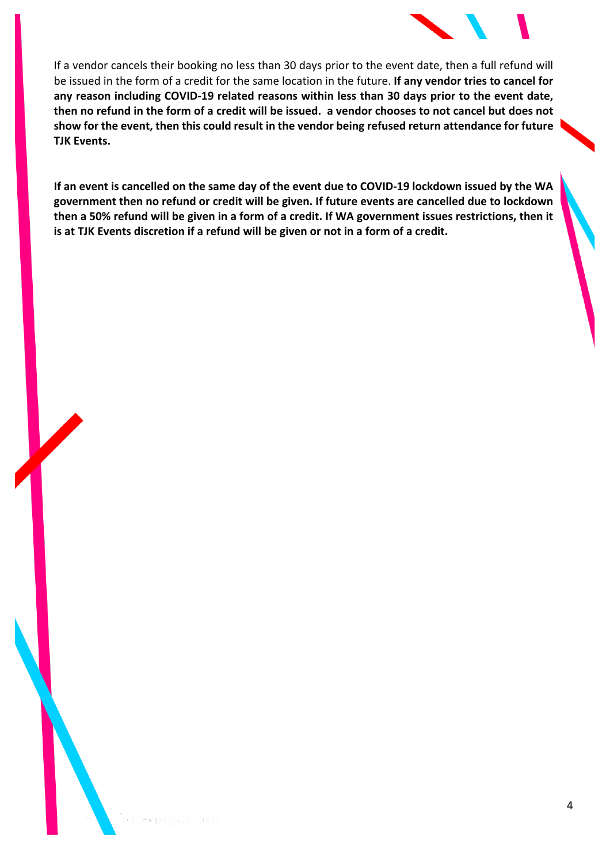

If a vendor cancels their booking no less than 30 days prior to the event date, then a full refund will be issued in the form of a credit for the same location in the future. **If any vendor tries to cancel for any reason including COVID-19 related reasons within less than 30 days prior to the event date, then no refund in the form of a credit will be issued. a vendor chooses to not cancel but does not show for the event, then this could result in the vendor being refused return attendance for future TJK Events.** 

**If an event is cancelled on the same day of the event due to COVID-19 lockdown issued by the WA government then no refund or credit will be given. If future events are cancelled due to lockdown then a 50% refund will be given in a form of a credit. If WA government issues restrictions, then it is at TJK Events discretion if a refund will be given or not in a form of a credit.**